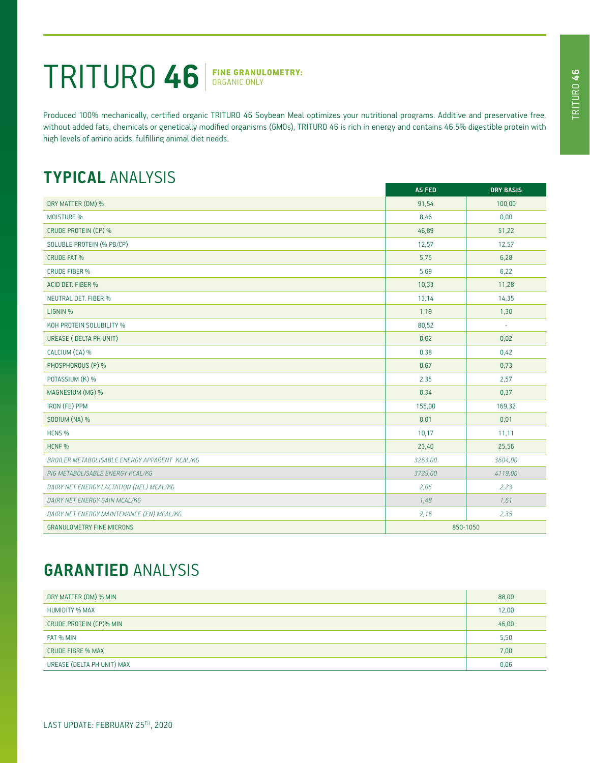## TRITURO **46** FINE GRANULOMETRY:

Produced 100% mechanically, certified organic TRITURO 46 Soybean Meal optimizes your nutritional programs. Additive and preservative free, without added fats, chemicals or genetically modified organisms (GMOs), TRITURO 46 is rich in energy and contains 46.5% digestible protein with high levels of amino acids, fulfilling animal diet needs.

## **TYPICAL** ANALYSIS

|                                               | <b>AS FED</b> | <b>DRY BASIS</b> |
|-----------------------------------------------|---------------|------------------|
| DRY MATTER (DM) %                             | 91,54         | 100,00           |
| <b>MOISTURE %</b>                             | 8,46          | 0,00             |
| CRUDE PROTEIN (CP) %                          | 46,89         | 51,22            |
| SOLUBLE PROTEIN (% PB/CP)                     | 12,57         | 12,57            |
| <b>CRUDE FAT %</b>                            | 5,75          | 6,28             |
| <b>CRUDE FIBER %</b>                          | 5,69          | 6,22             |
| ACID DET. FIBER %                             | 10,33         | 11,28            |
| <b>NEUTRAL DET. FIBER %</b>                   | 13,14         | 14,35            |
| LIGNIN %                                      | 1,19          | 1,30             |
| KOH PROTEIN SOLUBILITY %                      | 80,52         | ÷.               |
| UREASE ( DELTA PH UNIT)                       | 0,02          | 0,02             |
| CALCIUM (CA) %                                | 0,38          | 0,42             |
| PHOSPHOROUS (P) %                             | 0,67          | 0,73             |
| POTASSIUM (K) %                               | 2,35          | 2,57             |
| MAGNESIUM (MG) %                              | 0,34          | 0,37             |
| IRON (FE) PPM                                 | 155,00        | 169,32           |
| SODIUM (NA) %                                 | 0,01          | 0,01             |
| HCNS <sub>%</sub>                             | 10,17         | 11,11            |
| HCNF %                                        | 23,40         | 25,56            |
| BROILER METABOLISABLE ENERGY APPARENT KCAL/KG | 3263,00       | 3604,00          |
| PIG METABOLISABLE ENERGY KCAL/KG              | 3729,00       | 4119,00          |
| DAIRY NET ENERGY LACTATION (NEL) MCAL/KG      | 2,05          | 2,23             |
| DAIRY NET ENERGY GAIN MCAL/KG                 | 1,48          | 1,61             |
| DAIRY NET ENERGY MAINTENANCE (EN) MCAL/KG     | 2,16          | 2,35             |
| <b>GRANULOMETRY FINE MICRONS</b>              | 850-1050      |                  |

## **GARANTIED** ANALYSIS

| DRY MATTER (DM) % MIN      | 88,00 |
|----------------------------|-------|
| <b>HUMIDITY % MAX</b>      | 12,00 |
| CRUDE PROTEIN (CP)% MIN    | 46,00 |
| FAT % MIN                  | 5,50  |
| <b>CRUDE FIBRE % MAX</b>   | 7,00  |
| UREASE (DELTA PH UNIT) MAX | 0,06  |